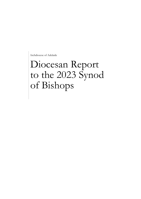Archdiocese of Adelaide

# Diocesan Report to the 2023 Synod of Bishops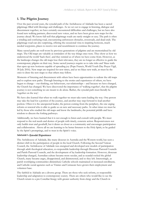# **1. The Pilgrim Journey**

Over the past several years, the synodal path of the Archdiocese of Adelaide has been a sacred pilgrimage filled with blessings and challenges. As we set out to engage in listening, dialogue and discernment together, we have certainly encountered difficulties and challenges, but we have also found new walking partners, discovered new voices, and we have been given new maps for the journey ahead. We know full well that pilgrimage roads are rarely straight or easy. The path is often a winding and confusing road, encountering unforeseen obstacles, crossroads, and dead ends. The pilgrimage road can also surprising, offering the occasional vista to inspiring horizons, much needed waypoints, places to receive rest and nourishment to continue the journey.

Many sacred paths are well-worn by previous generations of pilgrims and are memorialised by old maps. The Old maps are valuable as reminders of the way things once were. They show us how we understood the world 'back then', and they remind us of where we have come from. However, as the landscape changes the old maps lose their relevance, they are no longer as effective to guide the contemporary pilgrim on their way. Some sacred journeys require us to take risks and 'blaze trails that open up new horizons capable of spreading joy (Pope Francis, World Youth Day Prayer Vigil, 30 July 2016). New maps are required for new times, and as we blaze new trails, *we* must be the ones to draw the new maps so that others may follow.

Moments of listening and discernment with others have been opportunities to redraw the old maps and to explore new paths. Through listening to the stories and experiences of others, we have begun to change – our thinking, our behaviours, our relationships – and because we have changed, the Church has changed. We have discovered the importance of 'walking together', that the pilgrim journey is not something we are meant to do alone. Rather, the synodal path must literally be 'together on the way'.

We have also learned that when we walk together we must take turns leading the way. One person may take the lead for a portion of the journey, and another may step forward to lead another portion. Often it is the unexpected leader, the person coming from the periphery, the one urging reform or renewal who is able to guide us on new and necessary paths. At other times we must be led by those who studied the old maps and know the landmarks, the potential pitfalls and have wisdom to discern the forking pathways.

Additionally, we have learned that it is not enough to listen and consult with people. We must respond to the real needs and desires of people with timely, concrete action. Responsiveness not only builds trust and goodwill, but it draws us closer as a community and encourages participation and collaboration. Above all we are learning to be better listeners to the Holy Spirit, to be guided by the Spirit's promptings, and to trust in the Spirit's voice.

# **Adelaide's** Synodal Experience

The Archdiocese of Adelaide, like many dioceses in Australia and the Western world, has seen a distinct shift in the participation of people in the local Church. Following the Second Vatican Council, the Archdiocese of Adelaide was energized and developed new models of participation through adult theological education, co-responsible leadership through Diocesan Pastoral Councils and Parish Pastoral Councils, and the development of lay leadership formation. However, diocesan leadership changed, Australian culture became more secular, and as scandal rocked the global Church, many became angry, disappointed, and disinterested, and so they left. Interestingly, as parish worshiping communities diminished, Catholic schools maintained or increased enrollment, and Catholic social agencies such as Vinnies and Centacare have grown their employment and volunteer base.

The faithful in Adelaide are a diverse group. There are those who seek reform, co-responsible leadership and adaptation to contemporary society. There are others who would like to see the Church return to a pre-Conciliar liturgy with greater authority from clergy and the Church in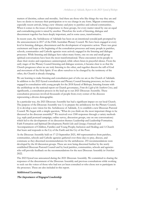matters of doctrine, culture and morality. And there are those who like things the way they are and have no desire to increase their participation or to see change in any form. Migrant communities, especially recent arrivals, bring a new vibrancy and piety to parishes and cultural communities. When it comes to the issues of importance to these groups, for every matter raised by one an equal and contradicting point is raised by another. Therefore the work of listening, dialogue and discernment together has been deeply important, and in some cases, transformative.

In recent years, the Archdiocese of Adelaide has been on an intentional synodal path prompted by the announcement in 2017 of the Fifth Australian Plenary Council. We have been engaged at every level in listening, dialogue, discernment and the development of responsive action. There was great excitement and hope at the beginning of the consultation processes and many people in parishes, schools, communities and Catholic agencies were actively engaged in the listening and dialogue processes. While listening and dialogue have taken many forms, one on one and small group spiritual conversations have been the most transformational. These encounters invite people to share their stories and experiences uninterrupted, while others listen in prayerful silence. From the early stages of the Plenary Council listening and dialogue sessions, it became clear to us that the Church progresses when we are truly listening to the other, and together discern the will of God and movement of the Holy Spirit. If we allow ourselves to be changed by the testimony of the other, the Church is already changing.

We are learning to make listening and consultation part of who we are as the Church of Adelaide. In addition to the 2023 Synod consultation and Plenary Council listening processes, we have also engaged in consultation with young people for the 2018 Synod of Bishops, listening forums with the archbishop on the national report on Church governance, *From the Light of the Southern Cross*, and significantly, a consultation process in the lead-up to our 2021 Diocesan Assembly. These consultation processes involved thousands of people from every corner of the dioceses representing a diverse demographic.

In a particular way, the 2021 Diocesan Assembly has had a significant impact on our local Church. The purpose of the Diocesan Assembly was 1) to prepare the archdiocese for the Plenary Council, 2) to develop a new vision for the Archdiocese of Adelaide, 3) to establish a new Diocesan Pastoral Council. We began with a simple question, "What do you think are the most important things to be discussed at the diocesan assembly?" We received over 1500 responses through a variety methods (e.g. reply-paid postcard campaign, online survey, discussion groups, one on one conversations) which led to the development of six discussion themes: Leadership and Leadership Formation; Faith Formation and Spiritual Development; Parish Life and Liturgy; Outreach and Accompaniment of Children, Families and Young People; Inclusion and Healing; and A Church that hears and responds to the Cry of the Earth and the Cry of the Poor.

At the Diocesan Assembly held on 17-23 September 2021, 460 representatives from parishes, communities, schools and Catholic agencies gathered over three days to pray, discuss, and commune as they discerned recommendations for the archdiocese. 255 recommendations were developed by the 60 discussion groups. These are now being discerned further by the newly established Diocesan Pastoral Council and by local parishes, communities, schools and agencies who will provide feedback on the recommendations for the next Diocesan Assembly in October 2022.

The 2023 Synod was announced during the 2021 Diocesan Assembly. We committed to sharing the responses of the discernment of the Diocesan Assembly and previous consultations while working to seek out the voices of those who had not yet been consulted or who chose not to participate in the processes. These are also included in this report.

# **Additional Learning**

#### The Importance of Engaged Leadership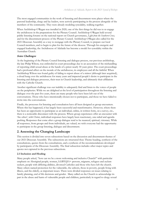The most engaged communities in the work of listening and discernment were places where the pastoral leadership, clergy and lay leaders, were actively participating in the process alongside of the members of the community. They were already modeling synodality, walking together.

When Archbishop O'Regan was installed in 2020, one of the first things he did was to re-engage the archdiocese in the preparations for the Plenary Council. Archbishop O'Regan held several public listening forums on the national report on Church governance, *Light from the Southern Cross,* and for the discernment process of the Plenary Council. Archbishop O'Regan also called for the 2021 Diocesan Assembly as a way to reengage with the Plenary Council, to prepare our local Council members, and to begin to plan for the future of the diocese. Through his energetic and engaged leadership, the Archdiocese of Adelaide has become a model for synodality within the Australian Church.

# Some Challenges

At the beginning of the Plenary Council listening and dialogue process, our previous archbishop, the late Philip Wilson, was embroiled in court proceedings due to an accusation of the mishandling of reporting child sexual abuse at the hands of a priest nearly 30 years prior. The court proceedings had a profound affect on the morale of the archdiocese, its employees and all the faithful. When Archbishop Wilson was found guilty of failing to report abuse of a minor (although later acquitted), a cloud hung over the archdiocese for many years and impacted people's desire to participate in the listening and dialogue processes, their trust in Church leadership, and ultimately their affiliation with the Catholic Church.

Another significant challenge was our inability to adequately find and listen to the voices of people on the peripheries. While we are delighted at the level of participation throughout the listening and dialogue over the past five years, there are many people who have been left out of the conversations. Those who have intentionally chosen not to participate, and those we have failed to invite into the conversations.

Finally, the processes for listening and consultation have all been designed as group encounters. Where this has happened, it has largely been successful and transformative. However, where there has been an opportunity to participate as an individual, online, in written form, on a survey, etc., there is a noticeable disconnect with the process. Where group experiences offer an encounter with 'the other', with Christ, individual responses have largely been reactionary, one-sided and agendapushing. Responses that come after a group dialogue tend to be nuanced, spiritual, visionary. While all responses, from groups and from individuals, are valued, we wish everyone had the opportunity to participate in the group listening, dialogue and discernment.

# **2. Assessing the Changing Landscape**

This section is divided into seven subsections based on the discussion and discernment themes of our 2021 Diocesan Assembly. The subsections are structured thus: Theme heading, synthesis of the consultations, quotes from the consultations, and a synthesis of the recommendations developed by participants of the Diocesan Assembly. The final subsection includes other major topics and quotes not captured in the previous subsections.

# **2.1 Inclusion and Healing**

Many people asked, "how can we be a more welcoming and inclusive Church?" with particular emphasis on Aboriginal people, women, LGBTQIA+ persons, migrants, refugees and asylum seekers, people with differing abilities, divorced Catholics and those who have left the church. Many others named protection for the vulnerable, the unborn, those in poverty, people living with illness, and the elderly, as important issues. There were divided responses on issues relating to family planning, end of life decisions and gender. Many called on the Church to acknowledge its part in the abuse and harm of vulnerable people and children, particularly in regard to clergy sexual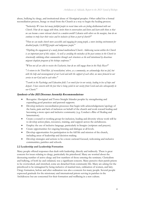abuse, bullying by clergy, and institutional abuse of Aboriginal peoples. Other called for a formal reconciliation process, liturgy or ritual from the Church as a way to begin the healing process.

*"Inclusivity: We have lost many faithful people in recent times who are feeling disillusioned with our Church. How do we engage with them, invite them to conversation and listen and learn with them so that we can become a more relevant church in a modern world? Likewise with others on the margins, how do we continue to truly hear their voices and be inclusive of them as part of church?"*

*"How we can make church more accessible and engaging for young people, a more inviting environment for disabled people, LGBTIQ people and indigenous people."*

*"Depthing the engagement of a newly formed multicultural Church. Addressing racism within the Church is an important part of this subject. As well as avoiding the mistakes of the past century in the Church in structurally sidelining ethnic communities through such structures as the well intentioned by disastrous migrant chaplain program of the bishops conference."*

*"When not all are able to receive the Eucharist, how do we still engage them in the Holy Mass?"*

*"A return to the Third Rite [of reconciliation] where, as a community, we acknowledge that we fail, but with the help and encouragement of our Lord and with the support of each other, we move forward in our service to our God and to each other."*

*"I work in the Psychology and Education field. I see much fear in our society, leading to loss of hope and despair. I have concern with the fear that is being cycled in our society from Covid and also subsequently in our Church."*

# Synthesis of the 2021 Diocesan Assembly Recommendations

- Recognise Aboriginal and Torres Straight Islander peoples by strengthening and expanding good practices and pastoral supports.
- Develop inclusive reconciliation processes that begin with acknowledgement/apology of the harm, pain and lack of inclusion on behalf of the church and work toward healing and becoming a more open and inclusive community (e.g. Conduct a Rite of Healing and lamentation).
- Create a council or working group for inclusion, healing and diversity whose work will be to develop action plans, resources, training, and support across the archdiocese.
- Employ the use of inclusive language, particularly in liturgies (scripture and prayers).
- Create opportunities for ongoing listening and dialogue at all levels.
- Develop opportunities for participation in the full life and mission of the church, including areas of leadership and decision making.
- Develop strategies and actions to be a more outward focused, welcoming and inclusive communities, parishes and schools.

# **2.2 Leadership and Leadership Formation**

Many people offered responses that dealt with leadership, directly and indirectly. There is great concern for issues relating to clergy, particularly the priesthood. Many are worried about the decreasing number of active clergy and low numbers of those entering the seminary. Clericalism and bullying, of both lay and ordained, was a significant concern. Many perceive their parish priests to be overworked, and stretched, some are detached from community life. Many are asking for the priesthood to be reimagined by being inclusive of married men, ordination of women, and laity. Clergy formation, before and after ordination was also a concern for many people. Several people expressed gratitude for the missionary and international priests serving in parishes in the Archdiocese but are concerned for their formation and wellbeing in a new culture.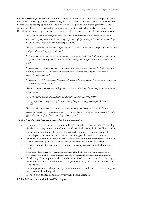People are seeking a greater understanding of the role of the laity in church leadership, particularly for women and young people, and seeking greater collaboration between lay and ordained leaders. People are also seeking opportunities to develop leadership skills in ministry, governance, and pastoral life. Respondents also asked for guidance regarding pastoral councils, transparency of Church authorities and governance, and a more visible presence of the archbishop in the diocese.

*"To utilize the skills, knowledge, experience and faith-filled commitment of lay leaders in our parish communities e.g. to provide homilies that bring scriptures to life by speaking to the social issues and daily realities of people's lives, work and community experiences."*

*"The gender imbalance in the Church is problematic. Not only is the hierarchy a "boys only" club, but even God gets reduced to being considered male."*

*"Education of priests and ministers in current theology, scripture scholarship, pastoral issues - to improve the quality of the sermons (so many are v. antiquated theology) and how priests treat those of us in the pews."*

*"Allowing our clergy to have the option of marrying, this could be a way of opening the path to once again increasing numbers that can lead the Catholic faith with confidence, and being able to relate more consistently with family life."*

*"Allowing women to be ordained as Deacons, with a view to becoming priests, thus moving the church into the 21st Century and onwards!!!"*

*"The appointment of bishops to include genuine consultation with laity who can call forth suitable persons for their diocese."*

*"Good governance through accountability, transparency, inclusion and subsidiarity"*

*"Identifying and promoting models of Church reflecting Gospel values appropriate for 21st century Australia."*

*"The role and formation of lay leadership in the diocese should continue to be advanced. We need to continue to promote senior female leadership, openness, visibility, and good governance, particularly in the light of the findings of the Child Abuse Royal Commission."*

#### Synthesis of the 2021 Diocesan Assembly Recommendations

- Continued discernment, development and implementation of new models of leadership for clergy and laity to minister and govern collaboratively, synodally in the Church today.
- Enable opportunities for all the laity, but especially women, to undertake roles of leadership in all areas of Archdiocesan life including parishes and communities,
- Enhance and promote leadership formation and education opportunities through new an existing platforms (e.g. CESA, ACU, MFP, Centacare etc.) for lay and ordained.
- Provide resources for parishes and communities to employ pastoral and administrative staff.
- Support collaborative governance in parishes with the provision of guidelines and resources for parish pastoral councils and other leadership councils and committees.
- Provide significant support to clergy in the areas of wellbeing and mental health, ongoing formation and spiritual development, change management, workload and interpersonal relationships.
- Encourage greater collaboration in parishes, communities and schools between clergy and laity, particularly in liturgical life
- Develop ways to mentor and empower young people as leaders

#### **2.3 Faith Formation and Spiritual Development**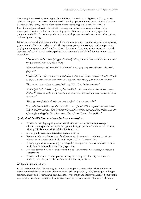Many people expressed a deep longing for faith formation and spiritual guidance. Many people asked for programs, resources and multi-modal learning opportunities to be provided at diocesan, deanery, parish, home, and individual levels. Respondents suggested a variety of kinds of formation: religious education in Catholic schools, catechetical programs, scripture study, theological education, Catholic social teaching, spiritual direction, sacramental preparation programs, adult faith formation, youth and young adult programs, service-learning, online options and small group settings.

Other responses included the promotion of commitment to prayer, experiencing different spiritual practices in the Christian tradition, and offering new opportunities to engage with and promote praying the rosary and exposition of the Blessed Sacrament. Some respondents spoke about their experience of a particular devotion, spirituality, or community and their desire for others to know about them.

*"How do we as a faith community support individual faith response in children and adults that accentuates agency, conscience, freewill and responsibility"*

*"How can the young people access the "Word of God" in a language they can understand - Art, music, lifestyle etc."*

*"Adult Faith Formation: sharing of current theology, scripture, social justice, ecumenism to support people in our parishes to be more empowered with knowledge and understanding of our faith in today's world."*

*"More prayer opportunities as a community; Rosary, Holy Hour, 24 hour adoration"*

*"As the Spirit leads Catholics to "grow up" in their Faith - this causes internal chaos at times... more Spiritual Directors are needed and funding for more lay people to be trained who can't otherwise afford the time or cost."*

*"The integration of school and parish communities - finding/creating new models"*

*"Our parish has an R-12 college with over 1000 students of which 60% are reputed to be non-Catholic. Only 13 students made their First Eucharist this year. None of these have been sighted in the church either before or after making their First Communion. No youth over 10 attend Sunday Mass"*

#### Synthesis of the 2021 Diocesan Assembly Recommendations

- Provide diverse, high-quality, multi-modal faith formation, catechesis, theological education and spiritual development opportunities, programs and resources for all ages, with a particular emphasis on adult faith formation.
- Develop a diocesan faith formation team to oversee
- Review policies and frameworks for all sacramental preparation and develop realistic, relevant resources for individuals, parishes, schools and communities.
- Provide support for enhancing partnerships between parishes, schools and communities for faith formation and sacramental preparation.
- Improve communication of and accessibility to faith formation resources, policies, and expectations
- Provide faith formation and spiritual development programs for religious education teachers, catechists, and other faith formation leaders/ministers.

#### **2.4 Parish Life and Liturgy**

Parish and community life were of great concern to people as these are the primary reference points for church for most people. Many people asked the questions, "Why are people no longer attending Mass" and "How can we become a more welcoming and inclusive church?" Some people expressed concern and sadness at the decreasing number of people involved in parish life in the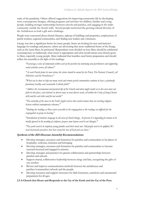wake of the pandemic. Others offered suggestions for improving community life by developing more contemporary liturgies, offering programs and activities for children, families and young people, building stronger relationships between schools and parishes, and engaging in the wider community outside the church walls. Several people mentioned the growing cultural diversity of the Archdiocese as both a gift and a challenge.

People were concerned about church finances, upkeep of buildings and properties, employment of parish workers, regional communities, and finding new leaders and volunteers.

Liturgy was also a significant theme for many people. Some are looking for new and inclusive language for readings and prayers, others are advocating that more traditional forms of the liturgy, such as the Latin Mass, be promoted. Respondents were divided on how Mass should be celebrated (contemporary or traditional), what music is appropriate and what would attract non-church-goers to Mass, especially young people. Many indicated that homilies need better preparation and should reflect the assembly in the light of the readings.

*"Encourage a sense of community within each of the parishes by welcoming new parishioners and supporting social activities across all cultures"*

*"As each Parish forms its own vision, the vision should be owned by the Priest, The Pastoral [Council], all Ministries and the Parishioners."*

*"What can be done to help our many rural and remote parish communities continue to have a spiritually functional, healthy and sustainable Catholic faith?"*

*"Address the Sacramental and pastoral life of the Church and what might enable us to live even more our faith in this place, and celebrate in diverse ways to meet diverse needs, all within the Unity of being Church with and for each other and for our world."*

*"The centrality of the mass to the Faith. Joyful services that avoid sermons that are overlong religious lectures without contemporary relevance."*

*"Making the readings at Mass more accessible to the congregation as the readings are difficult for the congregation to grasp on hearing."*

*"Introduction of inclusive language in all areas of church liturgy. At present it is degrading for women to be totally ignored in the wording of scripture, prayers some hymns used in our liturgies."*

*"The youth need to be inspired, young families need their needs met. Old people need to be uplifted. We need charismatic preachers that have tasted the love of God and can share."*

# Synthesis of the 2021 Diocesan Assembly Recommendations

- Develop strategies, resources and formation for parishes and communities to be places of hospitality, welcome, inclusion and belonging
- Develop strategies, resources and formation for parishes and communities to become outward focussed and engaged in mission.
- Develop strategies and practices for greater collaboration and partnerships between parishes and schools
- Support shared, collaborative leadership between clergy and laity, recognising the gifts of one another.
- Review and improve communication methods between the archdiocese and parishes/communities/schools and the people.
- Develop resources and support structures for faith formation, catechesis and sacramental preparation for all ages.

# **2.5 A Church that Hears and Responds to the Cry of the Earth and the Cry of the Poor.**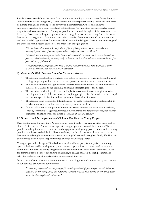People are concerned about the role of the church in responding to various crises facing the poor and vulnerable, locally and globally. There were significant responses seeking leadership in the area of climate change and working to end poverty and homelessness. Others asked how the Archdiocese can lead in areas of social and political topics (e.g. abortion, euthanasia, refugees and migrants, and reconciliation with Aboriginal peoples), and defend the rights of the most vulnerable in society. People are looking for opportunities to engage in action and advocacy for social justice. Many want to see greater collaboration with other Christian denominations and organisations as well as expanded opportunities for ecumenical and inter-faith dialogue. There is little knowledge of the work the Archdiocesan ecumenical and inter-faith dialogue groups.

*"Can we have a church where Social Justice as of Jesus of Nazareth is at our core - homelessness, underemployment, abuse of nature, asylum seekers, Indigenous welfare, suicide etc."*

*"A church that is actively present in the "existential peripheries" - a church that is poor and is with the poor (e.g. Aboriginal people, the unemployed, the homeless, etc.) A church that is attentive to the cry of the poor and the cry of the earth"*

*"We must prioritise care for the earth, there is no time more important than now. There are so many switches we can make and initiatives we can implement."*

#### Synthesis of the 2021 Diocesan Assembly Recommendations

- The Archdiocese develops a strategic plan to lead in the areas of social justice and integral ecology, beginning with a review of its own practices, investments and commitments.
- The Archdiocese provide opportunities and resources for education and faith formation in the areas of Catholic Social Teaching, social and ecological justice for all ages.
- The Archdiocese develops effective, multi-platform communication strategies aimed at elevating the 'brand' of the Archdiocese, inspiring people to live the mission of the Gospel, and promote practical action and engagement with social justice issues.
- The Archdiocesan Council for Integral Ecology provide visible, transparent leadership in collaboration with other diocesan councils, agencies and leaders.
- Greater collaboration and partnerships are developed between the archdiocese, parishes, schools, communities, agencies, families, other churches and religious groups, non-church organisations, etc. to work for justice, peace and an integral ecology.

#### **2.6 Outreach and Accompaniment of Children, Families and Young People**

Many people asked the questions, "where are our young people? How can we bring them back to church?" Others asked, "how can we support young people, children and their families?" Some people are asking for advice for outreach and engagement with young people, others look to young people as a solution to diminishing Mass attendance, but they do not know how to attract them. Many are wondering how to support parents of young children and strengthen family life. How can communities welcome and support families, children and young people?

Young people under the age of 30 asked for mental health support, for the parish community to be open to the ideas and leadership from young people, opportunities to connect and serve in the community, and they are asking for guidance and accompaniment from elders. People also asked for communities to be more supportive of families, to engage children through programs and activities, and offer age-appropriate faith formation and liturgies.

Several respondents called for a re-commitment to providing safe environments for young people in our parishes, schools and communities.

*"It seems very apparent that many young people are totally switched off from religious contact, but at the same time are very caring, loving and responsible youngsters of whom we as parents are very proud. How can we the church ignite their enthusiasm"*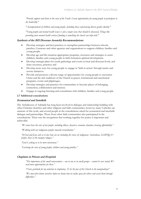*"Provide support and listen to the voice of the Youth. Create opportunities for young people to participate in the leadership."*

*"Accompaniment of children and young people, including those experiencing diverse gender identity."*

*"Young people and mental health issues is also a major issue that should be discussed, Things like providing more mental health services/funding is something the church can help with."*

#### Synthesis of the 2021 Diocesan Assembly Recommendations

- Develop strategies and best practices to strengthen partnerships between schools, parishes, Centacare and other agencies and organisations to support children, families and young people.
- Develop age and life-situation appropriate programs, resources and strategies to assist children, families and young people in faith formation spiritual development.
- Develop strategic plans for youth gatherings and events at local and diocesan levels, and share resources, practices and
- Develop more ways for young people to engage in 'faith in action' through justice and service initiatives.
- Provide and promote a diverse range of opportunities for young people to encounter Christ and the rich traditions of the Church in prayer, formational and catechetical programs, events and pilgrimages.
- Develop strategies and practices for communities to become places of belonging, connection, collaboration and mission.
- Engage in ongoing listening and consultation with children, families and young people.

#### **2.7 Additional consultations**

#### Ecumenical and Interfaith

The Archdiocese of Adelaide has long been involved in dialogue and relationship-building with other Christian churches and other religions and faith communities, however, many Catholics are unaware of this work, and several people in the consultations asked for ecumenical and interfaith dialogue and partnerships. Those from other faith communities also participated in the consultations. There was the recognition that working together for justice is important and achievable.

*"We must hear the cries of our people, including illness, disasters, economic situation, housing affordability."*

*"Walking with our indigenous peoples towards reconciliation."*

*"If God and Jesus ask us to love how are we including the voices of: indigenous Australians, LGBTIQA+ people, those at the margins refugees."*

*"God is asking us to be more missionary."*

*"Listening the voice of young people, children and young families."*

#### Chaplains in Prisons and Hospitals

*"The importance of the small conversations – one to one or in small groups – cannot be over stated. We need more opportunities for these."*

*"I have gratitude for my ministry in chaplaincy. To be the face of the Church to the marginalized."*

*"We must first know ourselves before we know how we make space for others and assist them through difficulties."*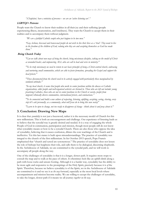*"[Chaplains] have a ministry of presence – we are an 'active listening ear'."*

#### LGBTQI+ Persons

People want the Church to know their realities in all their joy and their suffering (people experiencing illness, incarceration, and loneliness). They want the Church to accept them in their realities and to accompany them without judgment.

*"We are a faithful Catholic couple who just happen to be two men."*

*"Gay, lesbian, bisexual and transexual people do not wish to live their lives as a 'trial'. They want to live in the freedom of the children of God, valuing who they are and accepting themselves as God has made them."*

#### Being Church Today

*"Can we talk about new ways of being the church, being missionary disciples, taking on the model of Christ as wounded healer, and empowering ALL who are call to lead and serve in ministry."*

*"To be truly missionary we need to return to our basic principle of being a Christ-centred church, embracing and nurturing small communities, which are able to foster formation, spreading the Gospel and support the local priests."*

*"Those disconnected from the church need to be actively engaged with-particularly those marginalised by outdated attitudes."*

*"In my local church, it seems that people who work in senior positions within the diocese or Catholic organisations, older people and well-organised activists are listened to. Those who are left out include: young practising Catholics, those who are not in senior positions in the Church or society, people from migrant/ethnically diverse communities, international priests, and seminarians."*

*"To be connected and build a new culture of respecting, listening, uplifting, accepting, caring, sharing, every step let's ask personally, as a community, what will Jesus do to bring this new society"*

*"Learn to be open to change, not too ready to disapprove of change - think about it and pray about it."*

# **3. Conclusion: Drawing New Maps**

It is clear that *synodality* is not just a buzzword, rather it is the necessary model of Church for this new millennium. This is both an encouragement and challenge. Our experience of listening leads us to believe that the synodal way is greatly desired and needed. It is a way of engaging the whole People of God in communion, participation and mission, though most people still do not know what synodality means or how to be a synodal Church. There are also those who oppose the idea of synodality, believing that it causes confusion, dilutes the core teachings of the Church and is ineffective. Yet this last stance is built upon misunderstandings. The practice of synodality was integral to the church of the first millennium. In his October 2015 speech, Pope Francis emphasised that "church and synod are synonymous." The practice of synodality does not lessen the role of bishops but heightens their role, and calls them to be dialogical, discerning shepherds. In the Archdiocese of Adelaide, we are committed to the synodal path, and we will work to accompany all people along the way.

One of the challenges of synodality is that it is a longer, slower path. It requires more stops to consult the map and to walk at the pace of others. It oftentimes feels like an uphill climb along a path with loose rocks and unsure footing. Although it is a harder way, synodality has the ability to be more agile and responsive to the promptings of the Holy Spirit, precisely because it is *of* the Spirit. Therefore, because we believe synodality is of the Spirit, we in the Archdiocese of Adelaide are committed to it and we see it as *the way* forward, especially at the most local levels where accompaniment and mission become reality. We are willing to accept the challenges of synodality, to take the longer, slower path if it means we all journey *together on the way.*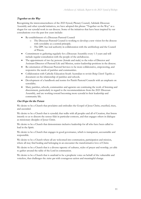# Together on the Way

Recognising the interconnectedness of the 2023 Synod, Plenary Council, Adelaide Diocesan Assembly and other synodal initiatives, we have adopted this phrase "Together on the Way" as a slogan for our synodal work in our diocese. Some of the initiatives that have been inspired by our consultations over the past few years include:

- Re-establishment of a Diocesan Pastoral Council
	- The Diocesan Pastoral Council is working to develop a new vision for the diocese with synodality as a central principle.
	- o The DPC has real authority in collaboration with the archbishop and the Council of Priests.
- Commitment to gathering regularly for a Diocesan Assembly every 1-3 years and will include regular consultation with the people of the archdiocese.
- The appointment of two lay persons (female and male) to the roles of Director and Assistant Director of Pastoral Life and Mission, senior leadership positions in the diocese.
- Re-orientation of Diocesan Pastoral Services to be more collaborative, empowering, and responsive the needs of parishes and communities.
- Collaboration with Catholic Education South Australian to revisit *Being Church Together,* a document on the relationship of parishes and schools.
- Development of a handbook and norms for Parish Pastoral Councils with an emphasis on synodality.
- Many parishes, schools, communities and agencies are continuing the work of listening and discernment, particularly in regard to the recommendations from the 2021 Diocesan Assembly, and are working toward becoming more synodal in their leadership and community life.

# Our Hope for the Future

We desire to be a Church that proclaims and embodies the Gospel of Jesus Christ, crucified, risen, and ascended.

We desire to be a Church that is synodal; that walks with all peoples and all of Creation, that listens intently so as to discern the sensus fidei in particular contexts, and that engages others in dialogue as missionary disciples of Jesus Christ.

We desire to be a Church that demonstrates inclusive leadership for all who have been called to lead in the Spirit.

We desire to be a Church that engages in good governance, which is transparent, accountable and responsible.

We desire to be a Church where all are welcomed into communion, participation and mission, where all may find healing and belonging in an encounter the transformative love of Christ.

We desire to be a Church that is a diverse tapestry of cultures, styles of prayer and worship, yet able to gather around the table of the Lord in communion.

We desire to be a Church that is unafraid to be a prophetic voice on behalf of the vulnerable and voiceless, that challenges the *status quo* with courageous action and meaningful change.